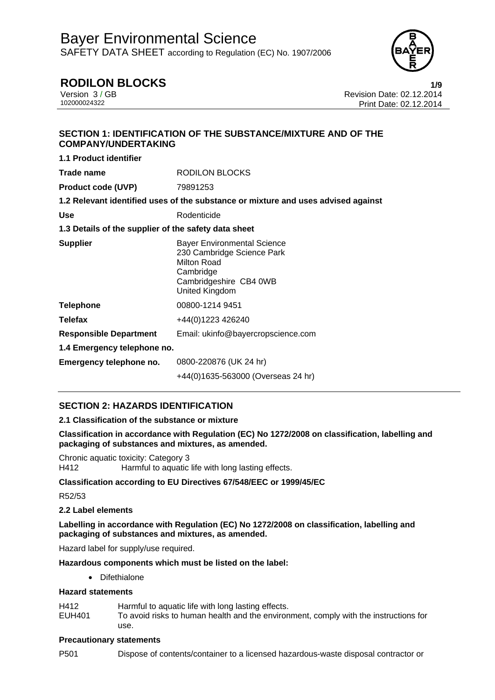

# **RODILON BLOCKS 1/9**

Version 3 / GB<br>102000024322<br>Print Date: 02.12.2014 Print Date: 02.12.2014

# **SECTION 1: IDENTIFICATION OF THE SUBSTANCE/MIXTURE AND OF THE COMPANY/UNDERTAKING**

**1.1 Product identifier Trade name BLOCKS Product code (UVP)** 79891253 **1.2 Relevant identified uses of the substance or mixture and uses advised against**  Use **Contract Contract Contract Contract Contract Contract Contract Contract Contract Contract Contract Contract Contract Contract Contract Contract Contract Contract Contract Contract Contract Contract Contract Contract C 1.3 Details of the supplier of the safety data sheet Supplier Bayer Environmental Science** 230 Cambridge Science Park Milton Road Cambridge Cambridgeshire CB4 0WB United Kingdom **Telephone** 00800-1214 9451 **Telefax** +44(0)1223 426240 **Responsible Department** Email: ukinfo@bayercropscience.com **1.4 Emergency telephone no. Emergency telephone no.** 0800-220876 (UK 24 hr) +44(0)1635-563000 (Overseas 24 hr)

# **SECTION 2: HAZARDS IDENTIFICATION**

# **2.1 Classification of the substance or mixture**

**Classification in accordance with Regulation (EC) No 1272/2008 on classification, labelling and packaging of substances and mixtures, as amended.** 

Chronic aquatic toxicity: Category 3 H412 Harmful to aquatic life with long lasting effects.

#### **Classification according to EU Directives 67/548/EEC or 1999/45/EC**

R52/53

### **2.2 Label elements**

**Labelling in accordance with Regulation (EC) No 1272/2008 on classification, labelling and packaging of substances and mixtures, as amended.** 

Hazard label for supply/use required.

#### **Hazardous components which must be listed on the label:**

• Difethialone

#### **Hazard statements**

- H412 Harmful to aquatic life with long lasting effects.
- EUH401 To avoid risks to human health and the environment, comply with the instructions for use.

#### **Precautionary statements**

P501 Dispose of contents/container to a licensed hazardous-waste disposal contractor or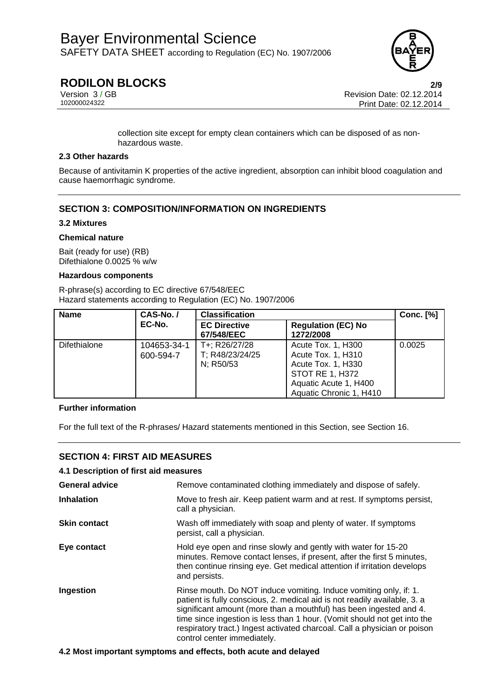

# **RODILON BLOCKS 2/9**

Version 3 / GB Revision Date: 02.12.2014 Print Date: 02.12.2014

> collection site except for empty clean containers which can be disposed of as nonhazardous waste.

#### **2.3 Other hazards**

Because of antivitamin K properties of the active ingredient, absorption can inhibit blood coagulation and cause haemorrhagic syndrome.

# **SECTION 3: COMPOSITION/INFORMATION ON INGREDIENTS**

#### **3.2 Mixtures**

#### **Chemical nature**

Bait (ready for use) (RB) Difethialone 0.0025 % w/w

### **Hazardous components**

R-phrase(s) according to EC directive 67/548/EEC Hazard statements according to Regulation (EC) No. 1907/2006

| <b>Name</b>  | CAS-No./                 | <b>Classification</b>                         |                                                                                                                                              | <b>Conc.</b> [%] |
|--------------|--------------------------|-----------------------------------------------|----------------------------------------------------------------------------------------------------------------------------------------------|------------------|
|              | EC-No.                   | <b>EC Directive</b><br>67/548/EEC             | <b>Regulation (EC) No</b><br>1272/2008                                                                                                       |                  |
| Difethialone | 104653-34-1<br>600-594-7 | T+: R26/27/28<br>T; R48/23/24/25<br>N; R50/53 | Acute Tox. 1, H300<br>Acute Tox. 1, H310<br>Acute Tox. 1, H330<br><b>STOT RE 1, H372</b><br>Aquatic Acute 1, H400<br>Aquatic Chronic 1, H410 | 0.0025           |

### **Further information**

For the full text of the R-phrases/ Hazard statements mentioned in this Section, see Section 16.

# **SECTION 4: FIRST AID MEASURES**

#### **4.1 Description of first aid measures**

| <b>General advice</b> | Remove contaminated clothing immediately and dispose of safely.                                                                                                                                                                                                                                                                                                                                              |
|-----------------------|--------------------------------------------------------------------------------------------------------------------------------------------------------------------------------------------------------------------------------------------------------------------------------------------------------------------------------------------------------------------------------------------------------------|
| <b>Inhalation</b>     | Move to fresh air. Keep patient warm and at rest. If symptoms persist,<br>call a physician.                                                                                                                                                                                                                                                                                                                  |
| <b>Skin contact</b>   | Wash off immediately with soap and plenty of water. If symptoms<br>persist, call a physician.                                                                                                                                                                                                                                                                                                                |
| Eye contact           | Hold eye open and rinse slowly and gently with water for 15-20<br>minutes. Remove contact lenses, if present, after the first 5 minutes,<br>then continue rinsing eye. Get medical attention if irritation develops<br>and persists.                                                                                                                                                                         |
| Ingestion             | Rinse mouth. Do NOT induce vomiting. Induce vomiting only, if: 1.<br>patient is fully conscious, 2. medical aid is not readily available, 3. a<br>significant amount (more than a mouthful) has been ingested and 4.<br>time since ingestion is less than 1 hour. (Vomit should not get into the<br>respiratory tract.) Ingest activated charcoal. Call a physician or poison<br>control center immediately. |

#### **4.2 Most important symptoms and effects, both acute and delayed**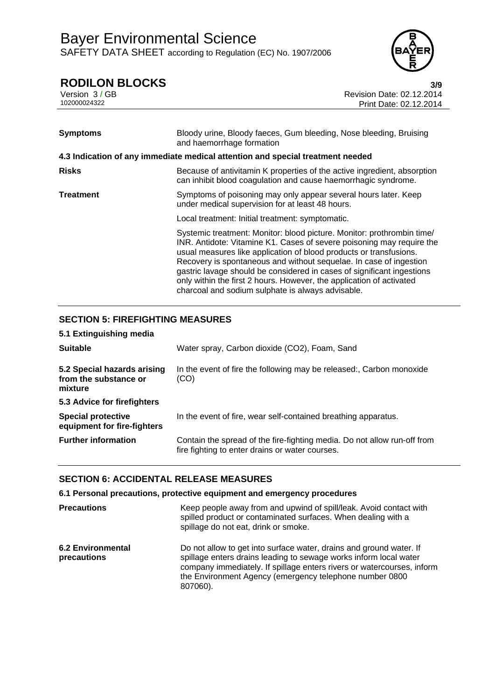

**RODILON BLOCKS** 3/9<br>Version 3/GB Revision Date: 02.12.2014 Version 3 / GB Revision Date: 02.12.2014<br>102000024322 Print Date: 02.12.2014 Print Date: 02.12.2014

| <b>Symptoms</b>  | Bloody urine, Bloody faeces, Gum bleeding, Nose bleeding, Bruising<br>and haemorrhage formation                                                                                                                                                                                                                                                                                                                                                                                                    |
|------------------|----------------------------------------------------------------------------------------------------------------------------------------------------------------------------------------------------------------------------------------------------------------------------------------------------------------------------------------------------------------------------------------------------------------------------------------------------------------------------------------------------|
|                  | 4.3 Indication of any immediate medical attention and special treatment needed                                                                                                                                                                                                                                                                                                                                                                                                                     |
| <b>Risks</b>     | Because of antivitamin K properties of the active ingredient, absorption<br>can inhibit blood coagulation and cause haemorrhagic syndrome.                                                                                                                                                                                                                                                                                                                                                         |
| <b>Treatment</b> | Symptoms of poisoning may only appear several hours later. Keep<br>under medical supervision for at least 48 hours.                                                                                                                                                                                                                                                                                                                                                                                |
|                  | Local treatment: Initial treatment: symptomatic.                                                                                                                                                                                                                                                                                                                                                                                                                                                   |
|                  | Systemic treatment: Monitor: blood picture. Monitor: prothrombin time/<br>INR. Antidote: Vitamine K1. Cases of severe poisoning may require the<br>usual measures like application of blood products or transfusions.<br>Recovery is spontaneous and without sequelae. In case of ingestion<br>gastric lavage should be considered in cases of significant ingestions<br>only within the first 2 hours. However, the application of activated<br>charcoal and sodium sulphate is always advisable. |

# **SECTION 5: FIREFIGHTING MEASURES**

| 5.1 Extinguishing media                                         |                                                                                                                             |
|-----------------------------------------------------------------|-----------------------------------------------------------------------------------------------------------------------------|
| <b>Suitable</b>                                                 | Water spray, Carbon dioxide (CO2), Foam, Sand                                                                               |
| 5.2 Special hazards arising<br>from the substance or<br>mixture | In the event of fire the following may be released:, Carbon monoxide<br>(CO)                                                |
| 5.3 Advice for firefighters                                     |                                                                                                                             |
| <b>Special protective</b><br>equipment for fire-fighters        | In the event of fire, wear self-contained breathing apparatus.                                                              |
| <b>Further information</b>                                      | Contain the spread of the fire-fighting media. Do not allow run-off from<br>fire fighting to enter drains or water courses. |

# **SECTION 6: ACCIDENTAL RELEASE MEASURES**

# **6.1 Personal precautions, protective equipment and emergency procedures**

| <b>Precautions</b>                      | Keep people away from and upwind of spill/leak. Avoid contact with<br>spilled product or contaminated surfaces. When dealing with a<br>spillage do not eat, drink or smoke.                                                                                                               |
|-----------------------------------------|-------------------------------------------------------------------------------------------------------------------------------------------------------------------------------------------------------------------------------------------------------------------------------------------|
| <b>6.2 Environmental</b><br>precautions | Do not allow to get into surface water, drains and ground water. If<br>spillage enters drains leading to sewage works inform local water<br>company immediately. If spillage enters rivers or watercourses, inform<br>the Environment Agency (emergency telephone number 0800<br>807060). |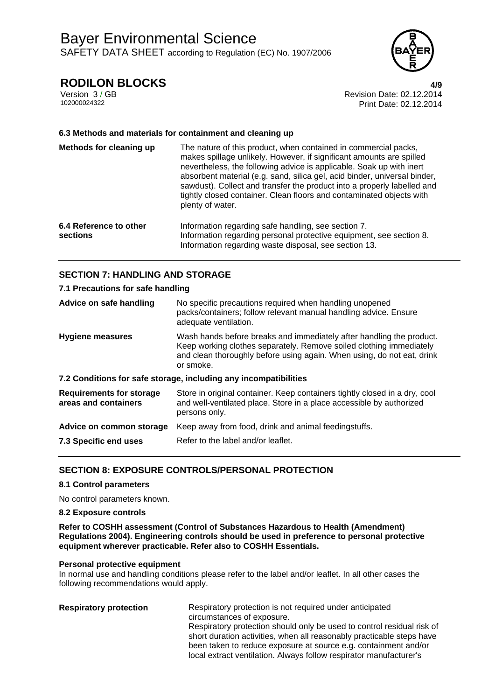

# **RODILON BLOCKS 4/9**

Version 3 / GB Revision Date: 02.12.2014 Print Date: 02.12.2014

### **6.3 Methods and materials for containment and cleaning up**

| Methods for cleaning up            | The nature of this product, when contained in commercial packs,<br>makes spillage unlikely. However, if significant amounts are spilled<br>nevertheless, the following advice is applicable. Soak up with inert<br>absorbent material (e.g. sand, silica gel, acid binder, universal binder,<br>sawdust). Collect and transfer the product into a properly labelled and<br>tightly closed container. Clean floors and contaminated objects with<br>plenty of water. |
|------------------------------------|---------------------------------------------------------------------------------------------------------------------------------------------------------------------------------------------------------------------------------------------------------------------------------------------------------------------------------------------------------------------------------------------------------------------------------------------------------------------|
| 6.4 Reference to other<br>sections | Information regarding safe handling, see section 7.<br>Information regarding personal protective equipment, see section 8.<br>Information regarding waste disposal, see section 13.                                                                                                                                                                                                                                                                                 |

# **SECTION 7: HANDLING AND STORAGE**

#### **7.1 Precautions for safe handling**

| Advice on safe handling                                          | No specific precautions required when handling unopened<br>packs/containers; follow relevant manual handling advice. Ensure<br>adequate ventilation.                                                                               |  |
|------------------------------------------------------------------|------------------------------------------------------------------------------------------------------------------------------------------------------------------------------------------------------------------------------------|--|
| <b>Hygiene measures</b>                                          | Wash hands before breaks and immediately after handling the product.<br>Keep working clothes separately. Remove soiled clothing immediately<br>and clean thoroughly before using again. When using, do not eat, drink<br>or smoke. |  |
| 7.2 Conditions for safe storage, including any incompatibilities |                                                                                                                                                                                                                                    |  |
| <b>Requirements for storage</b><br>areas and containers          | Store in original container. Keep containers tightly closed in a dry, cool<br>and well-ventilated place. Store in a place accessible by authorized<br>persons only.                                                                |  |
| Advice on common storage                                         | Keep away from food, drink and animal feedingstuffs.                                                                                                                                                                               |  |
| 7.3 Specific end uses                                            | Refer to the label and/or leaflet.                                                                                                                                                                                                 |  |

# **SECTION 8: EXPOSURE CONTROLS/PERSONAL PROTECTION**

#### **8.1 Control parameters**

No control parameters known.

#### **8.2 Exposure controls**

**Refer to COSHH assessment (Control of Substances Hazardous to Health (Amendment) Regulations 2004). Engineering controls should be used in preference to personal protective equipment wherever practicable. Refer also to COSHH Essentials.**

### **Personal protective equipment**

In normal use and handling conditions please refer to the label and/or leaflet. In all other cases the following recommendations would apply.

**Respiratory protection** Respiratory protection is not required under anticipated circumstances of exposure. Respiratory protection should only be used to control residual risk of short duration activities, when all reasonably practicable steps have been taken to reduce exposure at source e.g. containment and/or local extract ventilation. Always follow respirator manufacturer's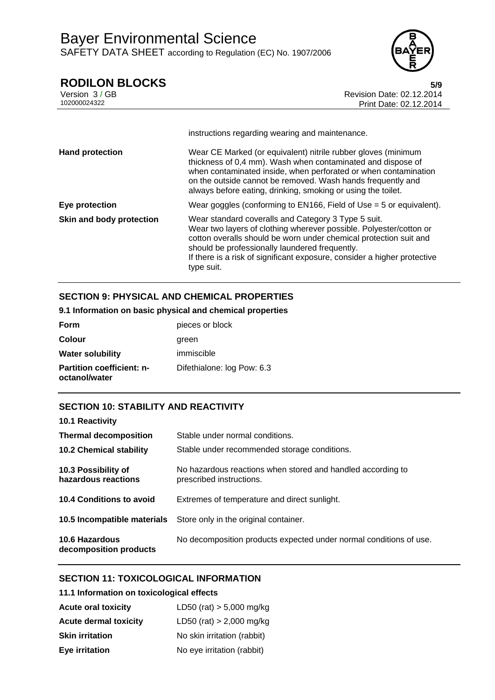

**RODILON BLOCKS**<br>Version 3/GB<br>**Revision Date: 02.12.2014** Version 3 / GB Revision Date: 02.12.2014 Print Date: 02.12.2014

|                          | instructions regarding wearing and maintenance.                                                                                                                                                                                                                                                                                            |
|--------------------------|--------------------------------------------------------------------------------------------------------------------------------------------------------------------------------------------------------------------------------------------------------------------------------------------------------------------------------------------|
| <b>Hand protection</b>   | Wear CE Marked (or equivalent) nitrile rubber gloves (minimum<br>thickness of 0,4 mm). Wash when contaminated and dispose of<br>when contaminated inside, when perforated or when contamination<br>on the outside cannot be removed. Wash hands frequently and<br>always before eating, drinking, smoking or using the toilet.             |
| Eye protection           | Wear goggles (conforming to EN166, Field of Use $=$ 5 or equivalent).                                                                                                                                                                                                                                                                      |
| Skin and body protection | Wear standard coveralls and Category 3 Type 5 suit.<br>Wear two layers of clothing wherever possible. Polyester/cotton or<br>cotton overalls should be worn under chemical protection suit and<br>should be professionally laundered frequently.<br>If there is a risk of significant exposure, consider a higher protective<br>type suit. |

# **SECTION 9: PHYSICAL AND CHEMICAL PROPERTIES**

# **9.1 Information on basic physical and chemical properties**

| <b>Form</b>                                       | pieces or block            |
|---------------------------------------------------|----------------------------|
| <b>Colour</b>                                     | green                      |
| <b>Water solubility</b>                           | immiscible                 |
| <b>Partition coefficient: n-</b><br>octanol/water | Difethialone: log Pow: 6.3 |

# **SECTION 10: STABILITY AND REACTIVITY**

| 10.1 Reactivity                            |                                                                                         |
|--------------------------------------------|-----------------------------------------------------------------------------------------|
| <b>Thermal decomposition</b>               | Stable under normal conditions.                                                         |
| <b>10.2 Chemical stability</b>             | Stable under recommended storage conditions.                                            |
| 10.3 Possibility of<br>hazardous reactions | No hazardous reactions when stored and handled according to<br>prescribed instructions. |
| 10.4 Conditions to avoid                   | Extremes of temperature and direct sunlight.                                            |
| 10.5 Incompatible materials                | Store only in the original container.                                                   |
| 10.6 Hazardous<br>decomposition products   | No decomposition products expected under normal conditions of use.                      |

# **SECTION 11: TOXICOLOGICAL INFORMATION**

# **11.1 Information on toxicological effects**

| <b>Acute oral toxicity</b>   | LD50 (rat) $> 5,000$ mg/kg  |
|------------------------------|-----------------------------|
| <b>Acute dermal toxicity</b> | LD50 (rat) $> 2,000$ mg/kg  |
| <b>Skin irritation</b>       | No skin irritation (rabbit) |
| Eye irritation               | No eye irritation (rabbit)  |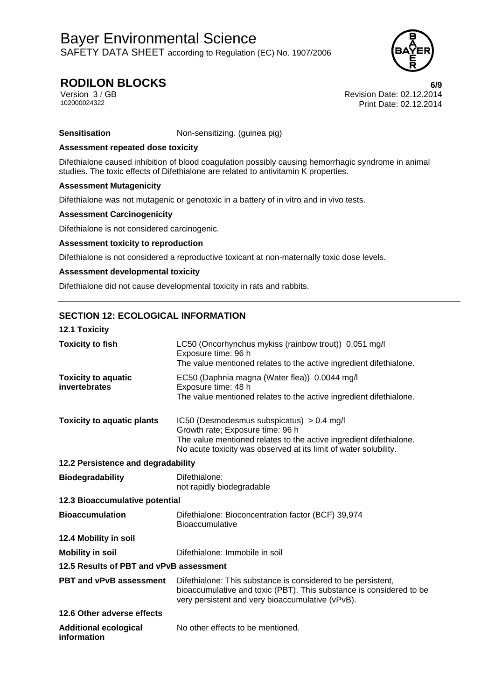

# **RODILON BLOCKS 6/9**

Version 3 / GB Revision Date: 02.12.2014 Print Date: 02.12.2014

**Sensitisation Non-sensitizing.** (guinea pig)

# **Assessment repeated dose toxicity**

Difethialone caused inhibition of blood coagulation possibly causing hemorrhagic syndrome in animal studies. The toxic effects of Difethialone are related to antivitamin K properties.

# **Assessment Mutagenicity**

Difethialone was not mutagenic or genotoxic in a battery of in vitro and in vivo tests.

# **Assessment Carcinogenicity**

Difethialone is not considered carcinogenic.

# **Assessment toxicity to reproduction**

Difethialone is not considered a reproductive toxicant at non-maternally toxic dose levels.

# **Assessment developmental toxicity**

Difethialone did not cause developmental toxicity in rats and rabbits.

# **SECTION 12: ECOLOGICAL INFORMATION**

| <b>12.1 Toxicity</b>                        |                                                                                                                                                                                                                           |  |
|---------------------------------------------|---------------------------------------------------------------------------------------------------------------------------------------------------------------------------------------------------------------------------|--|
| <b>Toxicity to fish</b>                     | LC50 (Oncorhynchus mykiss (rainbow trout)) 0.051 mg/l<br>Exposure time: 96 h<br>The value mentioned relates to the active ingredient difethialone.                                                                        |  |
| <b>Toxicity to aquatic</b><br>invertebrates | EC50 (Daphnia magna (Water flea)) 0.0044 mg/l<br>Exposure time: 48 h<br>The value mentioned relates to the active ingredient difethialone.                                                                                |  |
| <b>Toxicity to aquatic plants</b>           | IC50 (Desmodesmus subspicatus) $> 0.4$ mg/l<br>Growth rate; Exposure time: 96 h<br>The value mentioned relates to the active ingredient difethialone.<br>No acute toxicity was observed at its limit of water solubility. |  |
| 12.2 Persistence and degradability          |                                                                                                                                                                                                                           |  |
| <b>Biodegradability</b>                     | Difethialone:<br>not rapidly biodegradable                                                                                                                                                                                |  |
| 12.3 Bioaccumulative potential              |                                                                                                                                                                                                                           |  |
| <b>Bioaccumulation</b>                      | Difethialone: Bioconcentration factor (BCF) 39,974<br><b>Bioaccumulative</b>                                                                                                                                              |  |
| 12.4 Mobility in soil                       |                                                                                                                                                                                                                           |  |
| <b>Mobility in soil</b>                     | Difethialone: Immobile in soil                                                                                                                                                                                            |  |
| 12.5 Results of PBT and vPvB assessment     |                                                                                                                                                                                                                           |  |
| <b>PBT and vPvB assessment</b>              | Difethialone: This substance is considered to be persistent,<br>bioaccumulative and toxic (PBT). This substance is considered to be<br>very persistent and very bioaccumulative (vPvB).                                   |  |
| 12.6 Other adverse effects                  |                                                                                                                                                                                                                           |  |
| <b>Additional ecological</b><br>information | No other effects to be mentioned.                                                                                                                                                                                         |  |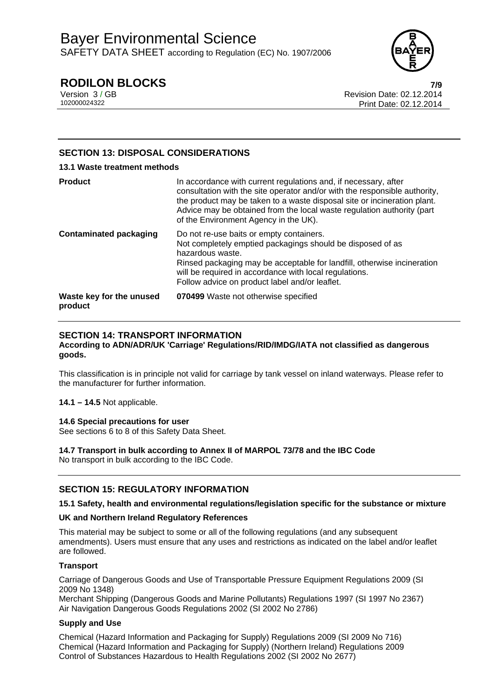

# **RODILON BLOCKS 7/9**

Version 3 / GB<br>102000024322<br>Print Date: 02.12.2014 Print Date: 02.12.2014

# **SECTION 13: DISPOSAL CONSIDERATIONS**

## **13.1 Waste treatment methods**

| <b>Product</b>                      | In accordance with current regulations and, if necessary, after<br>consultation with the site operator and/or with the responsible authority,<br>the product may be taken to a waste disposal site or incineration plant.<br>Advice may be obtained from the local waste regulation authority (part<br>of the Environment Agency in the UK). |
|-------------------------------------|----------------------------------------------------------------------------------------------------------------------------------------------------------------------------------------------------------------------------------------------------------------------------------------------------------------------------------------------|
| <b>Contaminated packaging</b>       | Do not re-use baits or empty containers.<br>Not completely emptied packagings should be disposed of as<br>hazardous waste.<br>Rinsed packaging may be acceptable for landfill, otherwise incineration<br>will be required in accordance with local regulations.<br>Follow advice on product label and/or leaflet.                            |
| Waste key for the unused<br>product | 070499 Waste not otherwise specified                                                                                                                                                                                                                                                                                                         |

# **SECTION 14: TRANSPORT INFORMATION**

**According to ADN/ADR/UK 'Carriage' Regulations/RID/IMDG/IATA not classified as dangerous goods.** 

This classification is in principle not valid for carriage by tank vessel on inland waterways. Please refer to the manufacturer for further information.

**14.1 – 14.5** Not applicable.

# **14.6 Special precautions for user**

See sections 6 to 8 of this Safety Data Sheet.

# **14.7 Transport in bulk according to Annex II of MARPOL 73/78 and the IBC Code**

No transport in bulk according to the IBC Code.

# **SECTION 15: REGULATORY INFORMATION**

# **15.1 Safety, health and environmental regulations/legislation specific for the substance or mixture**

# **UK and Northern Ireland Regulatory References**

This material may be subject to some or all of the following regulations (and any subsequent amendments). Users must ensure that any uses and restrictions as indicated on the label and/or leaflet are followed.

# **Transport**

Carriage of Dangerous Goods and Use of Transportable Pressure Equipment Regulations 2009 (SI 2009 No 1348)

Merchant Shipping (Dangerous Goods and Marine Pollutants) Regulations 1997 (SI 1997 No 2367) Air Navigation Dangerous Goods Regulations 2002 (SI 2002 No 2786)

# **Supply and Use**

Chemical (Hazard Information and Packaging for Supply) Regulations 2009 (SI 2009 No 716) Chemical (Hazard Information and Packaging for Supply) (Northern Ireland) Regulations 2009 Control of Substances Hazardous to Health Regulations 2002 (SI 2002 No 2677)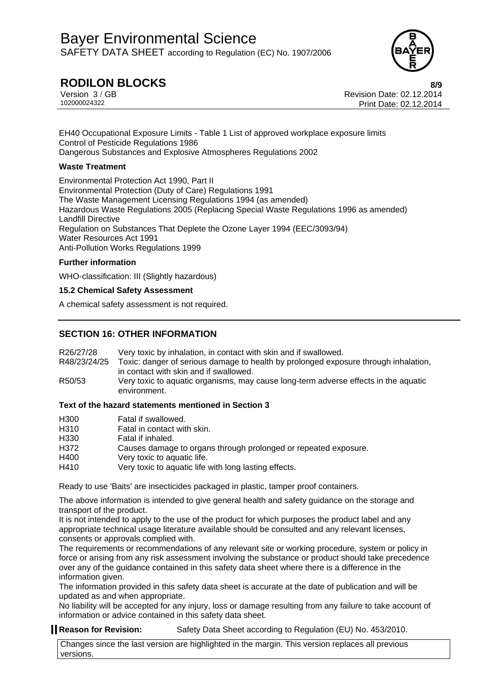

# **RODILON BLOCKS 8/9**

Version 3 / GB<br>102000024322<br>Print Date: 02.12.2014 Print Date: 02.12.2014

EH40 Occupational Exposure Limits - Table 1 List of approved workplace exposure limits Control of Pesticide Regulations 1986 Dangerous Substances and Explosive Atmospheres Regulations 2002

## **Waste Treatment**

Environmental Protection Act 1990, Part II Environmental Protection (Duty of Care) Regulations 1991 The Waste Management Licensing Regulations 1994 (as amended) Hazardous Waste Regulations 2005 (Replacing Special Waste Regulations 1996 as amended) Landfill Directive Regulation on Substances That Deplete the Ozone Layer 1994 (EEC/3093/94) Water Resources Act 1991 Anti-Pollution Works Regulations 1999

### **Further information**

WHO-classification: III (Slightly hazardous)

# **15.2 Chemical Safety Assessment**

A chemical safety assessment is not required.

# **SECTION 16: OTHER INFORMATION**

| R26/27/28<br>R48/23/24/25 | Very toxic by inhalation, in contact with skin and if swallowed.<br>Toxic: danger of serious damage to health by prolonged exposure through inhalation, |
|---------------------------|---------------------------------------------------------------------------------------------------------------------------------------------------------|
|                           | in contact with skin and if swallowed.                                                                                                                  |
| R50/53                    | Very toxic to aquatic organisms, may cause long-term adverse effects in the aquatic<br>environment.                                                     |

# **Text of the hazard statements mentioned in Section 3**

| H300             | Fatal if swallowed.                                             |
|------------------|-----------------------------------------------------------------|
| H <sub>310</sub> | Fatal in contact with skin.                                     |
| H <sub>330</sub> | Fatal if inhaled.                                               |
| H372             | Causes damage to organs through prolonged or repeated exposure. |
| H400             | Very toxic to aquatic life.                                     |
| H410             | Very toxic to aquatic life with long lasting effects.           |

Ready to use 'Baits' are insecticides packaged in plastic, tamper proof containers.

The above information is intended to give general health and safety guidance on the storage and transport of the product.

It is not intended to apply to the use of the product for which purposes the product label and any appropriate technical usage literature available should be consulted and any relevant licenses, consents or approvals complied with.

The requirements or recommendations of any relevant site or working procedure, system or policy in force or arising from any risk assessment involving the substance or product should take precedence over any of the guidance contained in this safety data sheet where there is a difference in the information given.

The information provided in this safety data sheet is accurate at the date of publication and will be updated as and when appropriate.

No liability will be accepted for any injury, loss or damage resulting from any failure to take account of information or advice contained in this safety data sheet.

# **Reason for Revision:** Safety Data Sheet according to Regulation (EU) No. 453/2010.

Changes since the last version are highlighted in the margin. This version replaces all previous versions.